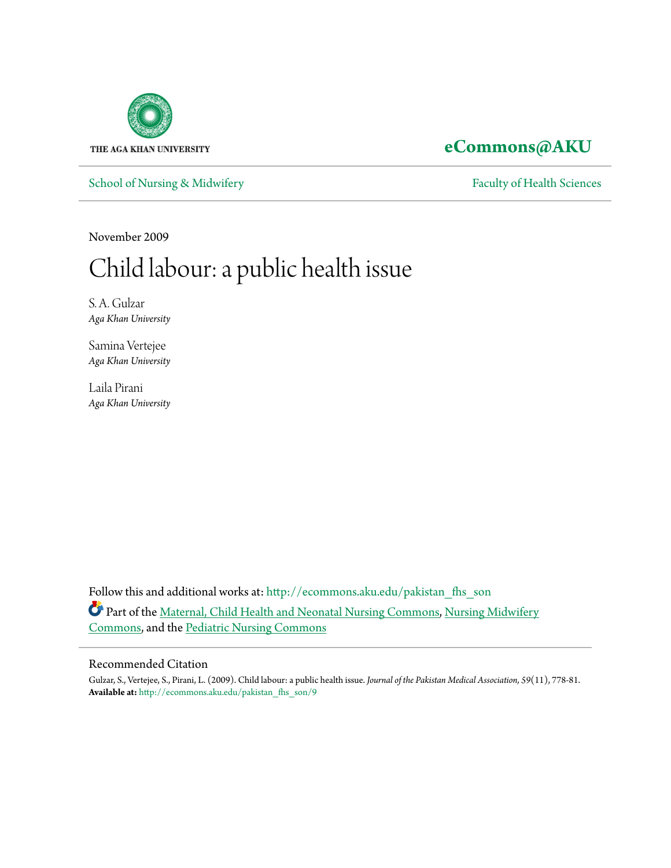

# **[eCommons@AKU](http://ecommons.aku.edu?utm_source=ecommons.aku.edu%2Fpakistan_fhs_son%2F9&utm_medium=PDF&utm_campaign=PDFCoverPages)**

[School of Nursing & Midwifery](http://ecommons.aku.edu/pakistan_fhs_son?utm_source=ecommons.aku.edu%2Fpakistan_fhs_son%2F9&utm_medium=PDF&utm_campaign=PDFCoverPages) [Faculty of Health Sciences](http://ecommons.aku.edu/pakistan_fhs?utm_source=ecommons.aku.edu%2Fpakistan_fhs_son%2F9&utm_medium=PDF&utm_campaign=PDFCoverPages)

November 2009

# Child labour: a public health issue

S. A. Gulzar *Aga Khan University*

Samina Vertejee *Aga Khan University*

Laila Pirani *Aga Khan University*

Follow this and additional works at: [http://ecommons.aku.edu/pakistan\\_fhs\\_son](http://ecommons.aku.edu/pakistan_fhs_son?utm_source=ecommons.aku.edu%2Fpakistan_fhs_son%2F9&utm_medium=PDF&utm_campaign=PDFCoverPages) Part of the [Maternal, Child Health and Neonatal Nursing Commons](http://network.bepress.com/hgg/discipline/721?utm_source=ecommons.aku.edu%2Fpakistan_fhs_son%2F9&utm_medium=PDF&utm_campaign=PDFCoverPages), [Nursing Midwifery](http://network.bepress.com/hgg/discipline/722?utm_source=ecommons.aku.edu%2Fpakistan_fhs_son%2F9&utm_medium=PDF&utm_campaign=PDFCoverPages) [Commons,](http://network.bepress.com/hgg/discipline/722?utm_source=ecommons.aku.edu%2Fpakistan_fhs_son%2F9&utm_medium=PDF&utm_campaign=PDFCoverPages) and the [Pediatric Nursing Commons](http://network.bepress.com/hgg/discipline/723?utm_source=ecommons.aku.edu%2Fpakistan_fhs_son%2F9&utm_medium=PDF&utm_campaign=PDFCoverPages)

### Recommended Citation

Gulzar, S., Vertejee, S., Pirani, L. (2009). Child labour: a public health issue. *Journal of the Pakistan Medical Association, 59*(11), 778-81. **Available at:** [http://ecommons.aku.edu/pakistan\\_fhs\\_son/9](http://ecommons.aku.edu/pakistan_fhs_son/9)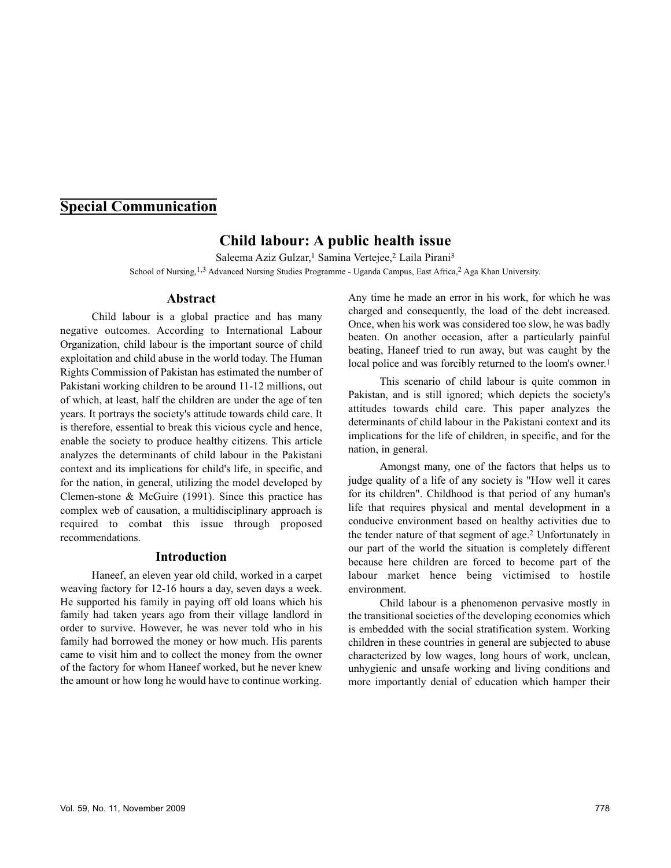# **Special Communication**

# **Child labour: A public health issue**

Saleema Aziz Gulzar,<sup>1</sup> Samina Vertejee,<sup>2</sup> Laila Pirani<sup>3</sup> School of Nursing,<sup>1,3</sup> Advanced Nursing Studies Programme - Uganda Campus, East Africa,<sup>2</sup> Aga Khan University.

#### **Abstract**

Child labour is a global practice and has many negative outcomes. According to International Labour Organization, child labour is the important source of child exploitation and child abuse in the world today. The Human Rights Commission of Pakistan has estimated the number of Pakistani working children to be around 11-12 millions, out of which, at least, half the children are under the age of ten years. It portrays the society's attitude towards child care. It is therefore, essential to break this vicious cycle and hence, enable the society to produce healthy citizens. This article analyzes the determinants of child labour in the Pakistani context and its implications for child's life, in specific, and for the nation, in general, utilizing the model developed by Clemen-stone & McGuire (1991). Since this practice has complex web of causation, a multidisciplinary approach is required to combat this issue through proposed recommendations.

#### **Introduction**

Haneef, an eleven year old child, worked in a carpet weaving factory for 12-16 hours a day, seven days a week. He supported his family in paying off old loans which his family had taken years ago from their village landlord in order to survive. However, he was never told who in his family had borrowed the money or how much. His parents came to visit him and to collect the money from the owner of the factory for whom Haneef worked, but he never knew the amount or how long he would have to continue working.

Any time he made an error in his work, for which he was charged and consequently, the load of the debt increased. Once, when his work was considered too slow, he was badly beaten. On another occasion, after a particularly painful beating, Haneef tried to run away, but was caught by the local police and was forcibly returned to the loom's owner.<sup>1</sup>

This scenario of child labour is quite common in Pakistan, and is still ignored; which depicts the society's attitudes towards child care. This paper analyzes the determinants of child labour in the Pakistani context and its implications for the life of children, in specific, and for the nation, in general.

Amongst many, one of the factors that helps us to judge quality of a life of any society is "How well it cares for its children". Childhood is that period of any human's life that requires physical and mental development in a conducive environment based on healthy activities due to the tender nature of that segment of age.<sup>2</sup> Unfortunately in our part of the world the situation is completely different because here children are forced to become part of the labour market hence being victimised to hostile environment.

Child labour is a phenomenon pervasive mostly in the transitional societies of the developing economies which is embedded with the social stratification system. Working children in these countries in general are subjected to abuse characterized by low wages, long hours of work, unclean, unhygienic and unsafe working and living conditions and more importantly denial of education which hamper their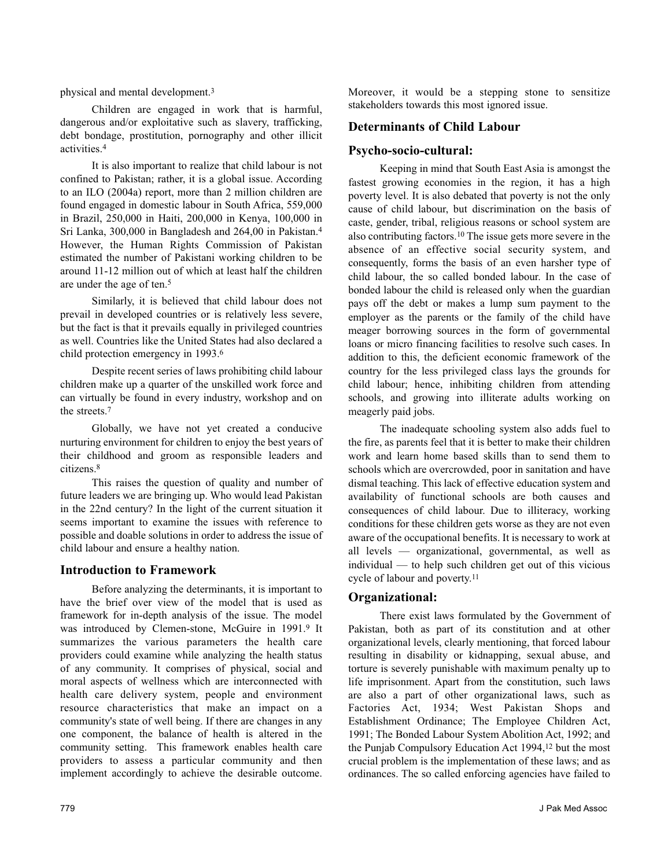physical and mental development.<sup>3</sup>

Children are engaged in work that is harmful, dangerous and/or exploitative such as slavery, trafficking, debt bondage, prostitution, pornography and other illicit activities.<sup>4</sup>

It is also important to realize that child labour is not confined to Pakistan; rather, it is a global issue. According to an ILO (2004a) report, more than 2 million children are found engaged in domestic labour in South Africa, 559,000 in Brazil, 250,000 in Haiti, 200,000 in Kenya, 100,000 in Sri Lanka, 300,000 in Bangladesh and 264,00 in Pakistan.<sup>4</sup> However, the Human Rights Commission of Pakistan estimated the number of Pakistani working children to be around 11-12 million out of which at least half the children are under the age of ten.<sup>5</sup>

Similarly, it is believed that child labour does not prevail in developed countries or is relatively less severe, but the fact is that it prevails equally in privileged countries as well. Countries like the United States had also declared a child protection emergency in 1993.<sup>6</sup>

Despite recent series of laws prohibiting child labour children make up a quarter of the unskilled work force and can virtually be found in every industry, workshop and on the streets.<sup>7</sup>

Globally, we have not yet created a conducive nurturing environment for children to enjoy the best years of their childhood and groom as responsible leaders and citizens.<sup>8</sup>

This raises the question of quality and number of future leaders we are bringing up. Who would lead Pakistan in the 22nd century? In the light of the current situation it seems important to examine the issues with reference to possible and doable solutions in order to address the issue of child labour and ensure a healthy nation.

#### **Introduction to Framework**

Before analyzing the determinants, it is important to have the brief over view of the model that is used as framework for in-depth analysis of the issue. The model was introduced by Clemen-stone, McGuire in 1991.<sup>9</sup> It summarizes the various parameters the health care providers could examine while analyzing the health status of any community. It comprises of physical, social and moral aspects of wellness which are interconnected with health care delivery system, people and environment resource characteristics that make an impact on a community's state of well being. If there are changes in any one component, the balance of health is altered in the community setting. This framework enables health care providers to assess a particular community and then implement accordingly to achieve the desirable outcome.

Moreover, it would be a stepping stone to sensitize stakeholders towards this most ignored issue.

## **Determinants of Child Labour**

### **Psycho-socio-cultural:**

Keeping in mind that South East Asia is amongst the fastest growing economies in the region, it has a high poverty level. It is also debated that poverty is not the only cause of child labour, but discrimination on the basis of caste, gender, tribal, religious reasons or school system are also contributing factors.<sup>10</sup> The issue gets more severe in the absence of an effective social security system, and consequently, forms the basis of an even harsher type of child labour, the so called bonded labour. In the case of bonded labour the child is released only when the guardian pays off the debt or makes a lump sum payment to the employer as the parents or the family of the child have meager borrowing sources in the form of governmental loans or micro financing facilities to resolve such cases. In addition to this, the deficient economic framework of the country for the less privileged class lays the grounds for child labour; hence, inhibiting children from attending schools, and growing into illiterate adults working on meagerly paid jobs.

The inadequate schooling system also adds fuel to the fire, as parents feel that it is better to make their children work and learn home based skills than to send them to schools which are overcrowded, poor in sanitation and have dismal teaching. This lack of effective education system and availability of functional schools are both causes and consequences of child labour. Due to illiteracy, working conditions for these children gets worse as they are not even aware of the occupational benefits. It is necessary to work at all levels — organizational, governmental, as well as individual — to help such children get out of this vicious cycle of labour and poverty.<sup>11</sup>

#### **Organizational:**

There exist laws formulated by the Government of Pakistan, both as part of its constitution and at other organizational levels, clearly mentioning, that forced labour resulting in disability or kidnapping, sexual abuse, and torture is severely punishable with maximum penalty up to life imprisonment. Apart from the constitution, such laws are also a part of other organizational laws, such as Factories Act, 1934; West Pakistan Shops and Establishment Ordinance; The Employee Children Act, 1991; The Bonded Labour System Abolition Act, 1992; and the Punjab Compulsory Education Act 1994,<sup>12</sup> but the most crucial problem is the implementation of these laws; and as ordinances. The so called enforcing agencies have failed to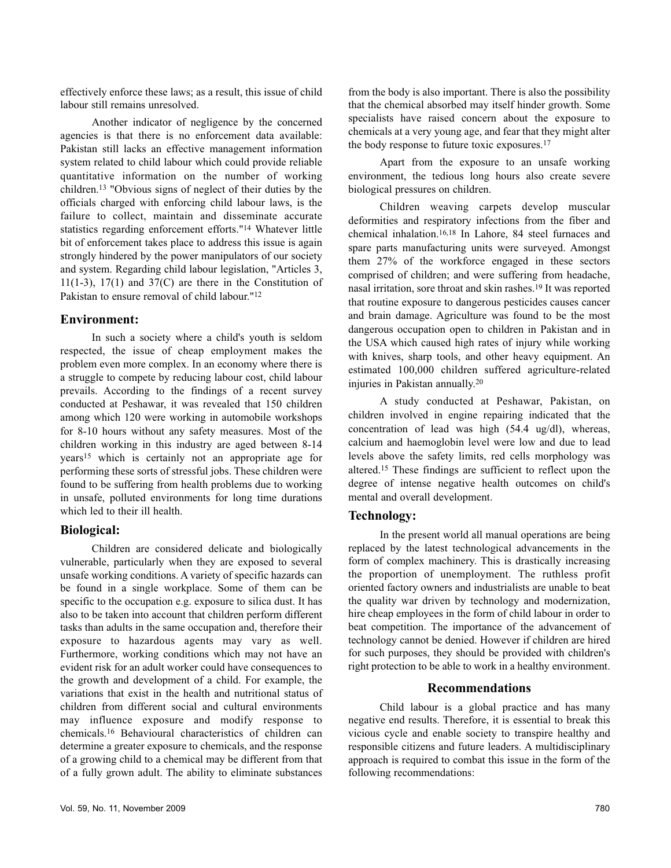effectively enforce these laws; as a result, this issue of child labour still remains unresolved.

Another indicator of negligence by the concerned agencies is that there is no enforcement data available: Pakistan still lacks an effective management information system related to child labour which could provide reliable quantitative information on the number of working children.<sup>13</sup> "Obvious signs of neglect of their duties by the officials charged with enforcing child labour laws, is the failure to collect, maintain and disseminate accurate statistics regarding enforcement efforts."<sup>14</sup> Whatever little bit of enforcement takes place to address this issue is again strongly hindered by the power manipulators of our society and system. Regarding child labour legislation, "Articles 3, 11(1-3), 17(1) and  $37(C)$  are there in the Constitution of Pakistan to ensure removal of child labour."<sup>12</sup>

#### **Environment:**

In such a society where a child's youth is seldom respected, the issue of cheap employment makes the problem even more complex. In an economy where there is a struggle to compete by reducing labour cost, child labour prevails. According to the findings of a recent survey conducted at Peshawar, it was revealed that 150 children among which 120 were working in automobile workshops for 8-10 hours without any safety measures. Most of the children working in this industry are aged between 8-14 years<sup>15</sup> which is certainly not an appropriate age for performing these sorts of stressful jobs. These children were found to be suffering from health problems due to working in unsafe, polluted environments for long time durations which led to their ill health.

#### **Biological:**

Children are considered delicate and biologically vulnerable, particularly when they are exposed to several unsafe working conditions. A variety of specific hazards can be found in a single workplace. Some of them can be specific to the occupation e.g. exposure to silica dust. It has also to be taken into account that children perform different tasks than adults in the same occupation and, therefore their exposure to hazardous agents may vary as well. Furthermore, working conditions which may not have an evident risk for an adult worker could have consequences to the growth and development of a child. For example, the variations that exist in the health and nutritional status of children from different social and cultural environments may influence exposure and modify response to chemicals.<sup>16</sup> Behavioural characteristics of children can determine a greater exposure to chemicals, and the response of a growing child to a chemical may be different from that of a fully grown adult. The ability to eliminate substances

from the body is also important. There is also the possibility that the chemical absorbed may itself hinder growth. Some specialists have raised concern about the exposure to chemicals at a very young age, and fear that they might alter the body response to future toxic exposures.<sup>17</sup>

Apart from the exposure to an unsafe working environment, the tedious long hours also create severe biological pressures on children.

Children weaving carpets develop muscular deformities and respiratory infections from the fiber and chemical inhalation.16,18 In Lahore, 84 steel furnaces and spare parts manufacturing units were surveyed. Amongst them 27% of the workforce engaged in these sectors comprised of children; and were suffering from headache, nasal irritation, sore throat and skin rashes.<sup>19</sup> It was reported that routine exposure to dangerous pesticides causes cancer and brain damage. Agriculture was found to be the most dangerous occupation open to children in Pakistan and in the USA which caused high rates of injury while working with knives, sharp tools, and other heavy equipment. An estimated 100,000 children suffered agriculture-related injuries in Pakistan annually.<sup>20</sup>

A study conducted at Peshawar, Pakistan, on children involved in engine repairing indicated that the concentration of lead was high (54.4 ug/dl), whereas, calcium and haemoglobin level were low and due to lead levels above the safety limits, red cells morphology was altered.<sup>15</sup> These findings are sufficient to reflect upon the degree of intense negative health outcomes on child's mental and overall development.

#### **Technology:**

In the present world all manual operations are being replaced by the latest technological advancements in the form of complex machinery. This is drastically increasing the proportion of unemployment. The ruthless profit oriented factory owners and industrialists are unable to beat the quality war driven by technology and modernization, hire cheap employees in the form of child labour in order to beat competition. The importance of the advancement of technology cannot be denied. However if children are hired for such purposes, they should be provided with children's right protection to be able to work in a healthy environment.

#### **Recommendations**

Child labour is a global practice and has many negative end results. Therefore, it is essential to break this vicious cycle and enable society to transpire healthy and responsible citizens and future leaders. A multidisciplinary approach is required to combat this issue in the form of the following recommendations: